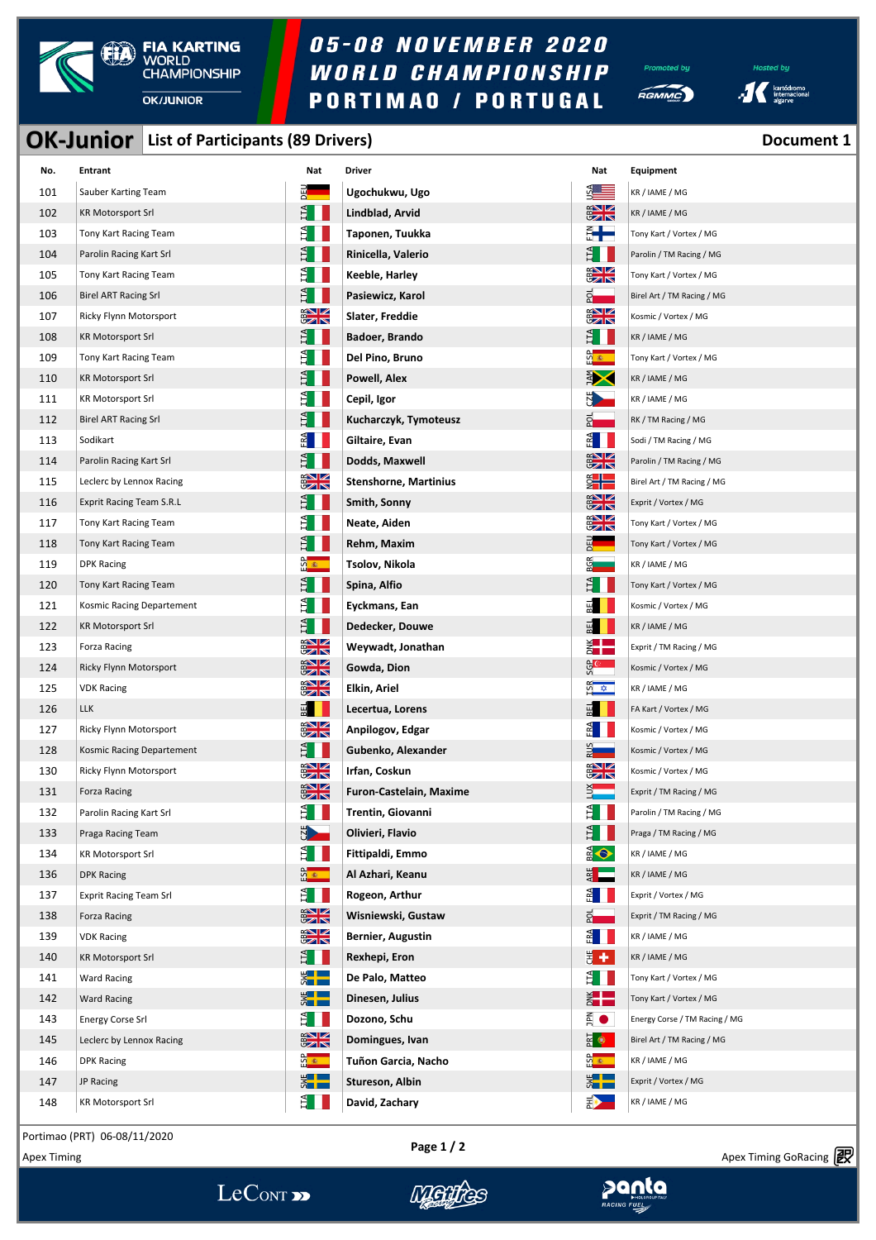

**ED FIA KARTING**<br>WORLD<br>CHAMPIONSHIP **OK/JUNIOR** 

## 05-08 NOVEMBER 2020 WORLD CHAMPIONSHIP PORTIMAO / PORTUGAL

ted bu  $\widetilde{H}$   $\widetilde{H}$ 

**Alexandrian Strategier Avenue** 

Hosted by

**OK-Junior** List of Participants (89 Drivers) **Discussed Executive Comment 1** 

| No. | <b>Entrant</b>                  | Nat                    | <b>Driver</b>                  | Nat                   | Equipment                     |
|-----|---------------------------------|------------------------|--------------------------------|-----------------------|-------------------------------|
| 101 | Sauber Karting Team             | 립                      | Ugochukwu, Ugo                 | <b>Second</b>         | KR / IAME / MG                |
| 102 | <b>KR Motorsport Srl</b>        | É II                   | Lindblad, Arvid                | $rac{2}{3}$           | KR / IAME / MG                |
| 103 | Tony Kart Racing Team           | É I                    | Taponen, Tuukka                | ╣┢                    | Tony Kart / Vortex / MG       |
| 104 | Parolin Racing Kart Srl         | É I                    | Rinicella, Valerio             | $H^{\text{max}}$      | Parolin / TM Racing / MG      |
| 105 | Tony Kart Racing Team           | Ê I I                  | Keeble, Harley                 | $rac{1}{2}$           | Tony Kart / Vortex / MG       |
| 106 | Birel ART Racing Srl            | $E_{\rm H}$            | Pasiewicz, Karol               | $\frac{1}{2}$         | Birel Art / TM Racing / MG    |
| 107 | Ricky Flynn Motorsport          | $\frac{1}{2}$          | Slater, Freddie                | $rac{1}{2}$           | Kosmic / Vortex / MG          |
| 108 | <b>KR Motorsport Srl</b>        | É II                   | Badoer, Brando                 | E I                   | KR / IAME / MG                |
| 109 | Tony Kart Racing Team           | H                      | Del Pino, Bruno                | <u>ထို ေ</u>          | Tony Kart / Vortex / MG       |
| 110 | <b>KR Motorsport Srl</b>        | $\sharp$ 1             | Powell, Alex                   | EX                    | KR / IAME / MG                |
| 111 | <b>KR Motorsport Srl</b>        | Ê I I                  | Cepil, Igor                    | 3                     | KR / IAME / MG                |
| 112 | Birel ART Racing Srl            | $E_{\parallel}$        | Kucharczyk, Tymoteusz          | $\frac{1}{2}$         | RK / TM Racing / MG           |
| 113 | Sodikart                        | $rac{1}{\epsilon}$     | Giltaire, Evan                 | $rac{1}{2}$           | Sodi / TM Racing / MG         |
| 114 | Parolin Racing Kart Srl         | E I                    | Dodds, Maxwell                 | $\frac{1}{2}$         | Parolin / TM Racing / MG      |
| 115 | Leclerc by Lennox Racing        | $\frac{1}{2}$          | <b>Stenshorne, Martinius</b>   | $rac{1}{2}$           | Birel Art / TM Racing / MG    |
| 116 | <b>Exprit Racing Team S.R.L</b> | Ê II                   | Smith, Sonny                   | $\frac{1}{2}$         | Exprit / Vortex / MG          |
| 117 | Tony Kart Racing Team           | É II                   | Neate, Aiden                   | $\frac{1}{2}$         | Tony Kart / Vortex / MG       |
| 118 | Tony Kart Racing Team           | $E_{\rm H}$            | Rehm, Maxim                    | $\frac{1}{2}$         | Tony Kart / Vortex / MG       |
| 119 | <b>DPK Racing</b>               | <u>ကို ေ</u>           | Tsolov, Nikola                 | $rac{6}{9}$           | KR / IAME / MG                |
| 120 | Tony Kart Racing Team           | Ê I I                  | Spina, Alfio                   | E I                   | Tony Kart / Vortex / MG       |
| 121 | Kosmic Racing Departement       | E                      | Eyckmans, Ean                  | $\overline{a}$        | Kosmic / Vortex / MG          |
| 122 | <b>KR Motorsport Srl</b>        | $H^{\text{max}}$       | Dedecker, Douwe                | $rac{1}{2}$           | KR / IAME / MG                |
| 123 | Forza Racing                    | $\frac{1}{2}$          | Weywadt, Jonathan              | ž.                    | Exprit / TM Racing / MG       |
| 124 | Ricky Flynn Motorsport          | $\frac{200}{200}$      | Gowda, Dion                    | မှု<br>မ              | Kosmic / Vortex / MG          |
| 125 | <b>VDK Racing</b>               | $rac{1}{2}$            | Elkin, Ariel                   | $rac{5}{4}$           | KR / IAME / MG                |
| 126 | <b>LLK</b>                      | $\overline{a}$         | Lecertua, Lorens               | $rac{1}{2}$           | FA Kart / Vortex / MG         |
| 127 | Ricky Flynn Motorsport          | $rac{1}{2}$            | Anpilogov, Edgar               | $rac{1}{2}$           | Kosmic / Vortex / MG          |
| 128 | Kosmic Racing Departement       | É I                    | Gubenko, Alexander             | $\frac{2}{3}$         | Kosmic / Vortex / MG          |
| 130 | Ricky Flynn Motorsport          | $\frac{2}{3}$          | Irfan, Coskun                  | $rac{1}{2}$           | Kosmic / Vortex / MG          |
| 131 | Forza Racing                    | $rac{1}{2}$            | <b>Furon-Castelain, Maxime</b> | $\frac{3}{2}$         | Exprit / TM Racing / MG       |
| 132 | Parolin Racing Kart Srl         | É II                   | Trentin, Giovanni              | É I                   | Parolin / TM Racing / MG      |
| 133 | Praga Racing Team               | $\frac{1}{2}$          | Olivieri, Flavio               | E I                   | Praga / TM Racing / MG        |
| 134 | <b>KR Motorsport Srl</b>        | E I                    | Fittipaldi, Emmo               | <b>OB</b>             | KR / IAME / MG                |
| 136 | <b>DPK Racing</b>               | င္ကို ေ                | Al Azhari, Keanu               | $rac{1}{\sqrt{2}}$    | KR / IAME / MG                |
| 137 | <b>Exprit Racing Team Srl</b>   | Ê I I                  | Rogeon, Arthur                 | $E = \frac{1}{2}$     | Exprit / Vortex / MG          |
| 138 | Forza Racing                    | $\frac{200}{200}$      | Wisniewski, Gustaw             | $\frac{1}{2}$         | Exprit / TM Racing / MG       |
| 139 | <b>VDK Racing</b>               | $\frac{1}{2}$          | <b>Bernier, Augustin</b>       | E                     | KR / IAME / MG                |
| 140 | <b>KR Motorsport Srl</b>        | Ê L                    | Rexhepi, Eron                  | $\frac{1}{5}$ +       | KR / IAME / MG                |
| 141 | Ward Racing                     | $\frac{1}{2}$          | De Palo, Matteo                | Ê I                   | Tony Kart / Vortex / MG       |
| 142 | Ward Racing                     | E                      | Dinesen, Julius                | $\frac{1}{2}$         | Tony Kart / Vortex / MG       |
| 143 | Energy Corse Srl                | Ê I I                  | Dozono, Schu                   | Ā O                   | Energy Corse / TM Racing / MG |
| 145 | Leclerc by Lennox Racing        | $\frac{200}{200}$      | Domingues, Ivan                | $R \odot R$           | Birel Art / TM Racing / MG    |
| 146 | <b>DPK Racing</b>               | င <mark>်္ဂါ နေ</mark> | Tuñon Garcia, Nacho            | <mark>္မိ</mark> ု့ ∌ | KR / IAME / MG                |
| 147 | JP Racing                       | ॶ <mark>ॣ</mark>       | Stureson, Albin                | $rac{1}{2}$           | Exprit / Vortex / MG          |
| 148 | <b>KR Motorsport Srl</b>        | É L                    | David, Zachary                 | $\Rightarrow$         | KR / IAME / MG                |

Portimao (PRT) 06-08/11/2020

Apex Timing - timing solutions and services https://www.apex-timing.com/

LeCont >>

**Page 1 / 2**





panta